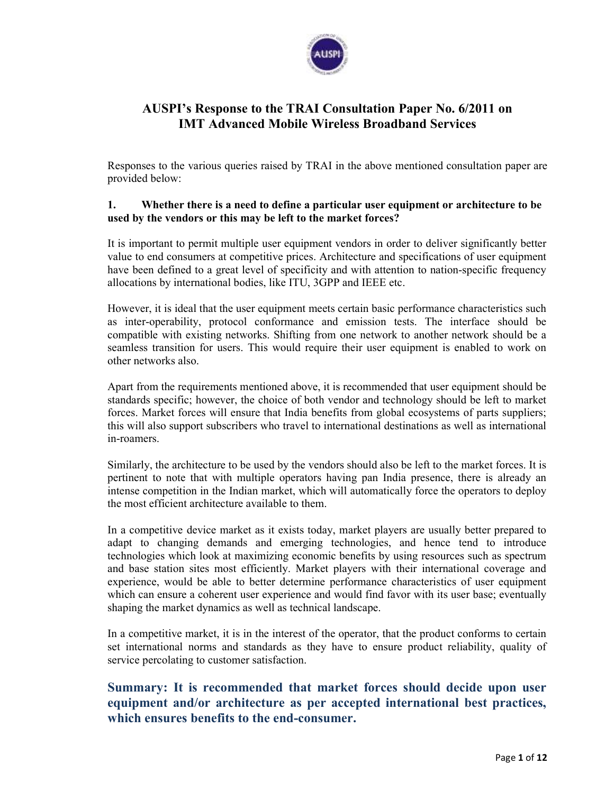

# **AUSPI's Response to the TRAI Consultation Paper No. 6/2011 on IMT Advanced Mobile Wireless Broadband Services**

Responses to the various queries raised by TRAI in the above mentioned consultation paper are provided below:

#### **1. Whether there is a need to define a particular user equipment or architecture to be used by the vendors or this may be left to the market forces?**

It is important to permit multiple user equipment vendors in order to deliver significantly better value to end consumers at competitive prices. Architecture and specifications of user equipment have been defined to a great level of specificity and with attention to nation-specific frequency allocations by international bodies, like ITU, 3GPP and IEEE etc.

However, it is ideal that the user equipment meets certain basic performance characteristics such as inter-operability, protocol conformance and emission tests. The interface should be compatible with existing networks. Shifting from one network to another network should be a seamless transition for users. This would require their user equipment is enabled to work on other networks also.

Apart from the requirements mentioned above, it is recommended that user equipment should be standards specific; however, the choice of both vendor and technology should be left to market forces. Market forces will ensure that India benefits from global ecosystems of parts suppliers; this will also support subscribers who travel to international destinations as well as international in-roamers.

Similarly, the architecture to be used by the vendors should also be left to the market forces. It is pertinent to note that with multiple operators having pan India presence, there is already an intense competition in the Indian market, which will automatically force the operators to deploy the most efficient architecture available to them.

In a competitive device market as it exists today, market players are usually better prepared to adapt to changing demands and emerging technologies, and hence tend to introduce technologies which look at maximizing economic benefits by using resources such as spectrum and base station sites most efficiently. Market players with their international coverage and experience, would be able to better determine performance characteristics of user equipment which can ensure a coherent user experience and would find favor with its user base; eventually shaping the market dynamics as well as technical landscape.

In a competitive market, it is in the interest of the operator, that the product conforms to certain set international norms and standards as they have to ensure product reliability, quality of service percolating to customer satisfaction.

# **Summary: It is recommended that market forces should decide upon user equipment and/or architecture as per accepted international best practices, which ensures benefits to the end-consumer.**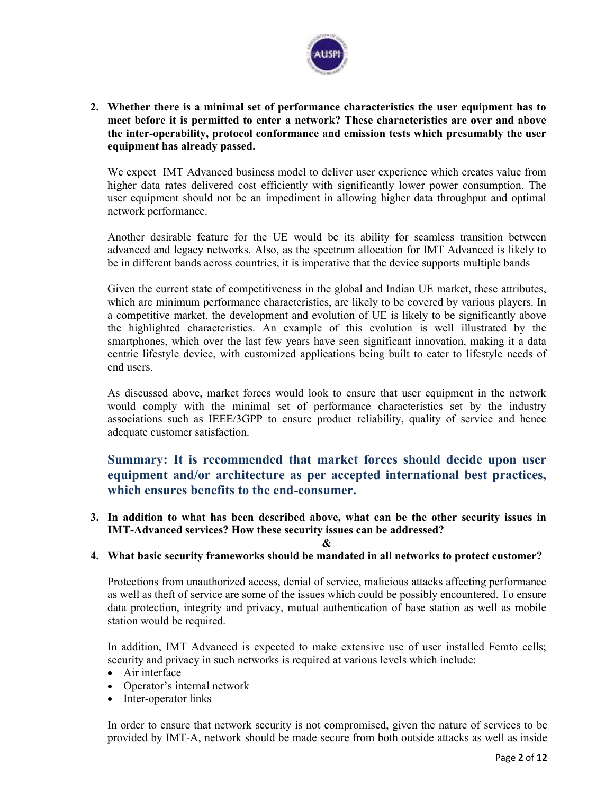

**2. Whether there is a minimal set of performance characteristics the user equipment has to meet before it is permitted to enter a network? These characteristics are over and above the inter-operability, protocol conformance and emission tests which presumably the user equipment has already passed.** 

We expect IMT Advanced business model to deliver user experience which creates value from higher data rates delivered cost efficiently with significantly lower power consumption. The user equipment should not be an impediment in allowing higher data throughput and optimal network performance.

Another desirable feature for the UE would be its ability for seamless transition between advanced and legacy networks. Also, as the spectrum allocation for IMT Advanced is likely to be in different bands across countries, it is imperative that the device supports multiple bands

Given the current state of competitiveness in the global and Indian UE market, these attributes, which are minimum performance characteristics, are likely to be covered by various players. In a competitive market, the development and evolution of UE is likely to be significantly above the highlighted characteristics. An example of this evolution is well illustrated by the smartphones, which over the last few years have seen significant innovation, making it a data centric lifestyle device, with customized applications being built to cater to lifestyle needs of end users.

As discussed above, market forces would look to ensure that user equipment in the network would comply with the minimal set of performance characteristics set by the industry associations such as IEEE/3GPP to ensure product reliability, quality of service and hence adequate customer satisfaction.

**Summary: It is recommended that market forces should decide upon user equipment and/or architecture as per accepted international best practices, which ensures benefits to the end-consumer.** 

**3. In addition to what has been described above, what can be the other security issues in IMT-Advanced services? How these security issues can be addressed?** 

**4. What basic security frameworks should be mandated in all networks to protect customer?** 

**&** 

Protections from unauthorized access, denial of service, malicious attacks affecting performance as well as theft of service are some of the issues which could be possibly encountered. To ensure data protection, integrity and privacy, mutual authentication of base station as well as mobile station would be required.

In addition, IMT Advanced is expected to make extensive use of user installed Femto cells; security and privacy in such networks is required at various levels which include:

- Air interface
- Operator's internal network
- Inter-operator links

In order to ensure that network security is not compromised, given the nature of services to be provided by IMT-A, network should be made secure from both outside attacks as well as inside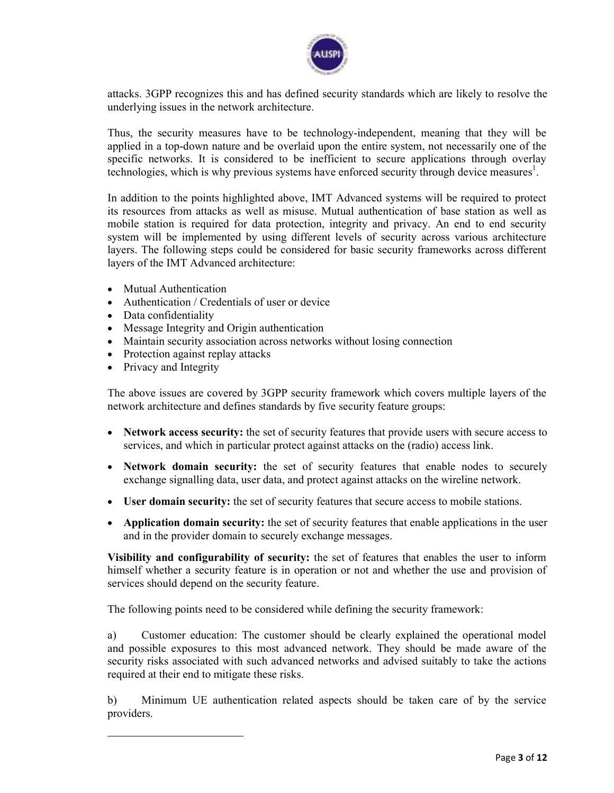

attacks. 3GPP recognizes this and has defined security standards which are likely to resolve the underlying issues in the network architecture.

Thus, the security measures have to be technology-independent, meaning that they will be applied in a top-down nature and be overlaid upon the entire system, not necessarily one of the specific networks. It is considered to be inefficient to secure applications through overlay technologies, which is why previous systems have enforced security through device measures<sup>1</sup>.

In addition to the points highlighted above, IMT Advanced systems will be required to protect its resources from attacks as well as misuse. Mutual authentication of base station as well as mobile station is required for data protection, integrity and privacy. An end to end security system will be implemented by using different levels of security across various architecture layers. The following steps could be considered for basic security frameworks across different layers of the IMT Advanced architecture:

- Mutual Authentication
- Authentication / Credentials of user or device
- Data confidentiality
- Message Integrity and Origin authentication
- Maintain security association across networks without losing connection
- Protection against replay attacks
- Privacy and Integrity

<u>.</u>

The above issues are covered by 3GPP security framework which covers multiple layers of the network architecture and defines standards by five security feature groups:

- **Network access security:** the set of security features that provide users with secure access to services, and which in particular protect against attacks on the (radio) access link.
- **Network domain security:** the set of security features that enable nodes to securely exchange signalling data, user data, and protect against attacks on the wireline network.
- **User domain security:** the set of security features that secure access to mobile stations.
- **Application domain security:** the set of security features that enable applications in the user and in the provider domain to securely exchange messages.

**Visibility and configurability of security:** the set of features that enables the user to inform himself whether a security feature is in operation or not and whether the use and provision of services should depend on the security feature.

The following points need to be considered while defining the security framework:

a) Customer education: The customer should be clearly explained the operational model and possible exposures to this most advanced network. They should be made aware of the security risks associated with such advanced networks and advised suitably to take the actions required at their end to mitigate these risks.

b) Minimum UE authentication related aspects should be taken care of by the service providers.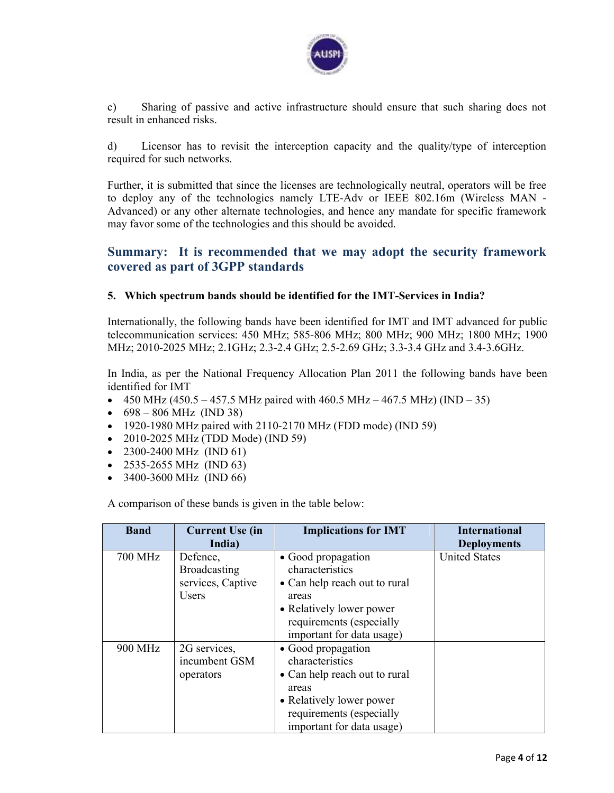

c) Sharing of passive and active infrastructure should ensure that such sharing does not result in enhanced risks.

d) Licensor has to revisit the interception capacity and the quality/type of interception required for such networks.

Further, it is submitted that since the licenses are technologically neutral, operators will be free to deploy any of the technologies namely LTE-Adv or IEEE 802.16m (Wireless MAN - Advanced) or any other alternate technologies, and hence any mandate for specific framework may favor some of the technologies and this should be avoided.

## **Summary: It is recommended that we may adopt the security framework covered as part of 3GPP standards**

#### **5. Which spectrum bands should be identified for the IMT-Services in India?**

Internationally, the following bands have been identified for IMT and IMT advanced for public telecommunication services: 450 MHz; 585-806 MHz; 800 MHz; 900 MHz; 1800 MHz; 1900 MHz; 2010-2025 MHz; 2.1GHz; 2.3-2.4 GHz; 2.5-2.69 GHz; 3.3-3.4 GHz and 3.4-3.6GHz.

In India, as per the National Frequency Allocation Plan 2011 the following bands have been identified for IMT

- 450 MHz (450.5 457.5 MHz paired with 460.5 MHz 467.5 MHz) (IND 35)
- $698 806 \text{ MHz (IND 38)}$
- 1920-1980 MHz paired with 2110-2170 MHz (FDD mode) (IND 59)
- 2010-2025 MHz (TDD Mode) (IND 59)
- 2300-2400 MHz (IND 61)
- 2535-2655 MHz (IND 63)
- 3400-3600 MHz (IND 66)

A comparison of these bands is given in the table below:

| <b>Band</b> | <b>Current Use (in</b> | <b>Implications for IMT</b>   | <b>International</b> |
|-------------|------------------------|-------------------------------|----------------------|
|             | India)                 |                               | <b>Deployments</b>   |
| 700 MHz     | Defence,               | • Good propagation            | <b>United States</b> |
|             | <b>Broadcasting</b>    | characteristics               |                      |
|             | services, Captive      | • Can help reach out to rural |                      |
|             | <b>Users</b>           | areas                         |                      |
|             |                        | • Relatively lower power      |                      |
|             |                        | requirements (especially      |                      |
|             |                        | important for data usage)     |                      |
| 900 MHz     | 2G services,           | • Good propagation            |                      |
|             | incumbent GSM          | characteristics               |                      |
|             | operators              | • Can help reach out to rural |                      |
|             |                        | areas                         |                      |
|             |                        | • Relatively lower power      |                      |
|             |                        | requirements (especially      |                      |
|             |                        | important for data usage)     |                      |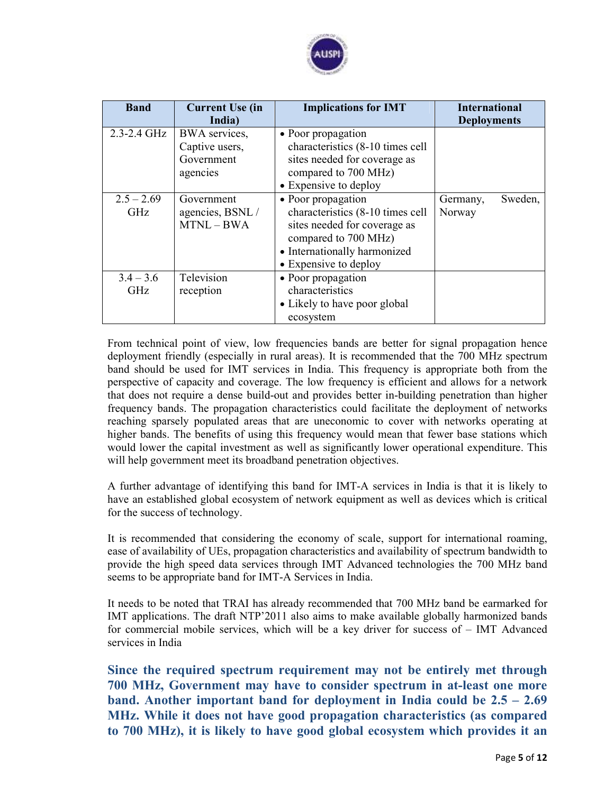

| <b>Band</b>                | <b>Current Use (in</b><br>India)                          | <b>Implications for IMT</b>                                                                                                                                             | <b>International</b><br><b>Deployments</b> |
|----------------------------|-----------------------------------------------------------|-------------------------------------------------------------------------------------------------------------------------------------------------------------------------|--------------------------------------------|
| $2.3 - 2.4$ GHz            | BWA services,<br>Captive users,<br>Government<br>agencies | • Poor propagation<br>characteristics (8-10 times cell<br>sites needed for coverage as<br>compared to 700 MHz)<br>• Expensive to deploy                                 |                                            |
| $2.5 - 2.69$<br><b>GHz</b> | Government<br>agencies, BSNL/<br>MTNL-BWA                 | • Poor propagation<br>characteristics (8-10 times cell<br>sites needed for coverage as<br>compared to 700 MHz)<br>• Internationally harmonized<br>• Expensive to deploy | Sweden,<br>Germany,<br>Norway              |
| $3.4 - 3.6$<br><b>GHz</b>  | Television<br>reception                                   | • Poor propagation<br>characteristics<br>• Likely to have poor global<br>ecosystem                                                                                      |                                            |

From technical point of view, low frequencies bands are better for signal propagation hence deployment friendly (especially in rural areas). It is recommended that the 700 MHz spectrum band should be used for IMT services in India. This frequency is appropriate both from the perspective of capacity and coverage. The low frequency is efficient and allows for a network that does not require a dense build-out and provides better in-building penetration than higher frequency bands. The propagation characteristics could facilitate the deployment of networks reaching sparsely populated areas that are uneconomic to cover with networks operating at higher bands. The benefits of using this frequency would mean that fewer base stations which would lower the capital investment as well as significantly lower operational expenditure. This will help government meet its broadband penetration objectives.

A further advantage of identifying this band for IMT-A services in India is that it is likely to have an established global ecosystem of network equipment as well as devices which is critical for the success of technology.

It is recommended that considering the economy of scale, support for international roaming, ease of availability of UEs, propagation characteristics and availability of spectrum bandwidth to provide the high speed data services through IMT Advanced technologies the 700 MHz band seems to be appropriate band for IMT-A Services in India.

It needs to be noted that TRAI has already recommended that 700 MHz band be earmarked for IMT applications. The draft NTP'2011 also aims to make available globally harmonized bands for commercial mobile services, which will be a key driver for success of – IMT Advanced services in India

**Since the required spectrum requirement may not be entirely met through 700 MHz, Government may have to consider spectrum in at-least one more band. Another important band for deployment in India could be 2.5 – 2.69 MHz. While it does not have good propagation characteristics (as compared to 700 MHz), it is likely to have good global ecosystem which provides it an**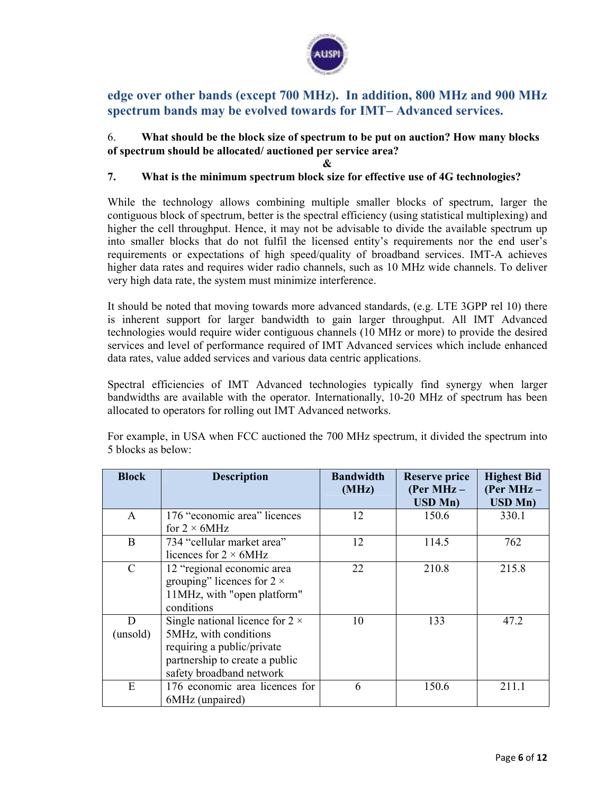

# **edge over other bands (except 700 MHz). In addition, 800 MHz and 900 MHz spectrum bands may be evolved towards for IMT– Advanced services.**

### 6. **What should be the block size of spectrum to be put on auction? How many blocks of spectrum should be allocated/ auctioned per service area?**

**&** 

### **7. What is the minimum spectrum block size for effective use of 4G technologies?**

While the technology allows combining multiple smaller blocks of spectrum, larger the contiguous block of spectrum, better is the spectral efficiency (using statistical multiplexing) and higher the cell throughput. Hence, it may not be advisable to divide the available spectrum up into smaller blocks that do not fulfil the licensed entity's requirements nor the end user's requirements or expectations of high speed/quality of broadband services. IMT-A achieves higher data rates and requires wider radio channels, such as 10 MHz wide channels. To deliver very high data rate, the system must minimize interference.

It should be noted that moving towards more advanced standards, (e.g. LTE 3GPP rel 10) there is inherent support for larger bandwidth to gain larger throughput. All IMT Advanced technologies would require wider contiguous channels (10 MHz or more) to provide the desired services and level of performance required of IMT Advanced services which include enhanced data rates, value added services and various data centric applications.

Spectral efficiencies of IMT Advanced technologies typically find synergy when larger bandwidths are available with the operator. Internationally, 10-20 MHz of spectrum has been allocated to operators for rolling out IMT Advanced networks.

| <b>Block</b>  | <b>Description</b>                     | <b>Bandwidth</b><br>(MHz) | <b>Reserve price</b><br>(Per MHz $-$<br><b>USD Mn)</b> | <b>Highest Bid</b><br>(Per MHz $-$<br><b>USD Mn)</b> |
|---------------|----------------------------------------|---------------------------|--------------------------------------------------------|------------------------------------------------------|
|               | 176 "economic area" licences           |                           |                                                        |                                                      |
| A             | for $2 \times 6$ MHz                   | 12                        | 150.6                                                  | 330.1                                                |
| B             | 734 "cellular market area"             | 12                        | 114.5                                                  | 762                                                  |
|               | licences for $2 \times 6$ MHz          |                           |                                                        |                                                      |
| $\mathcal{C}$ | 12 "regional economic area             | 22                        | 210.8                                                  | 215.8                                                |
|               | grouping" licences for $2 \times$      |                           |                                                        |                                                      |
|               | 11MHz, with "open platform"            |                           |                                                        |                                                      |
|               | conditions                             |                           |                                                        |                                                      |
| D             | Single national licence for $2 \times$ | 10                        | 133                                                    | 47.2                                                 |
| (unsold)      | 5MHz, with conditions                  |                           |                                                        |                                                      |
|               | requiring a public/private             |                           |                                                        |                                                      |
|               | partnership to create a public         |                           |                                                        |                                                      |
|               | safety broadband network               |                           |                                                        |                                                      |
| E             | 176 economic area licences for         | 6                         | 150.6                                                  | 211.1                                                |
|               | 6MHz (unpaired)                        |                           |                                                        |                                                      |

For example, in USA when FCC auctioned the 700 MHz spectrum, it divided the spectrum into 5 blocks as below: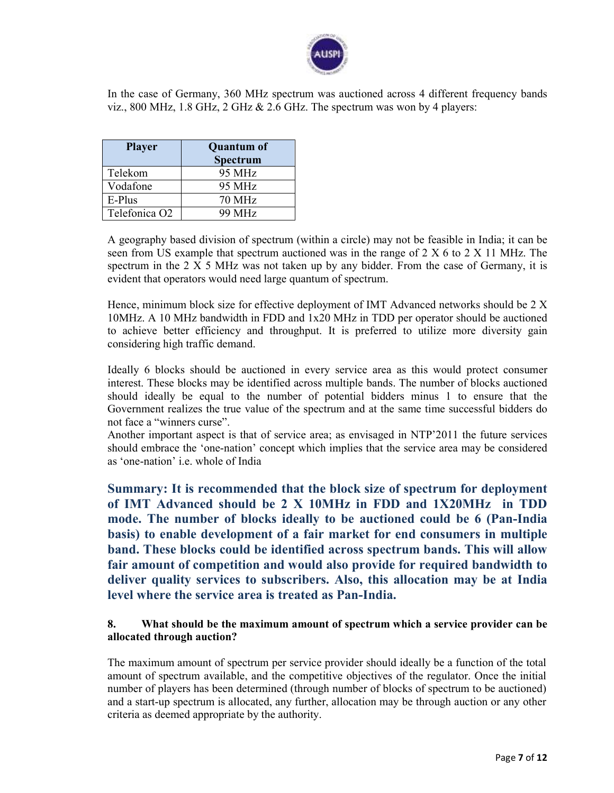

In the case of Germany, 360 MHz spectrum was auctioned across 4 different frequency bands viz., 800 MHz, 1.8 GHz, 2 GHz & 2.6 GHz. The spectrum was won by 4 players:

| <b>Player</b>             | <b>Quantum of</b><br><b>Spectrum</b> |
|---------------------------|--------------------------------------|
| Telekom                   | 95 MHz                               |
| Vodafone                  | 95 MHz                               |
| E-Plus                    | <b>70 MHz</b>                        |
| Telefonica O <sub>2</sub> | 99 MHz                               |

A geography based division of spectrum (within a circle) may not be feasible in India; it can be seen from US example that spectrum auctioned was in the range of 2 X 6 to 2 X 11 MHz. The spectrum in the  $2 \times 5$  MHz was not taken up by any bidder. From the case of Germany, it is evident that operators would need large quantum of spectrum.

Hence, minimum block size for effective deployment of IMT Advanced networks should be 2 X 10MHz. A 10 MHz bandwidth in FDD and 1x20 MHz in TDD per operator should be auctioned to achieve better efficiency and throughput. It is preferred to utilize more diversity gain considering high traffic demand.

Ideally 6 blocks should be auctioned in every service area as this would protect consumer interest. These blocks may be identified across multiple bands. The number of blocks auctioned should ideally be equal to the number of potential bidders minus 1 to ensure that the Government realizes the true value of the spectrum and at the same time successful bidders do not face a "winners curse".

Another important aspect is that of service area; as envisaged in NTP'2011 the future services should embrace the 'one-nation' concept which implies that the service area may be considered as 'one-nation' i.e. whole of India

**Summary: It is recommended that the block size of spectrum for deployment of IMT Advanced should be 2 X 10MHz in FDD and 1X20MHz in TDD mode. The number of blocks ideally to be auctioned could be 6 (Pan-India basis) to enable development of a fair market for end consumers in multiple band. These blocks could be identified across spectrum bands. This will allow fair amount of competition and would also provide for required bandwidth to deliver quality services to subscribers. Also, this allocation may be at India level where the service area is treated as Pan-India.** 

### **8. What should be the maximum amount of spectrum which a service provider can be allocated through auction?**

The maximum amount of spectrum per service provider should ideally be a function of the total amount of spectrum available, and the competitive objectives of the regulator. Once the initial number of players has been determined (through number of blocks of spectrum to be auctioned) and a start-up spectrum is allocated, any further, allocation may be through auction or any other criteria as deemed appropriate by the authority.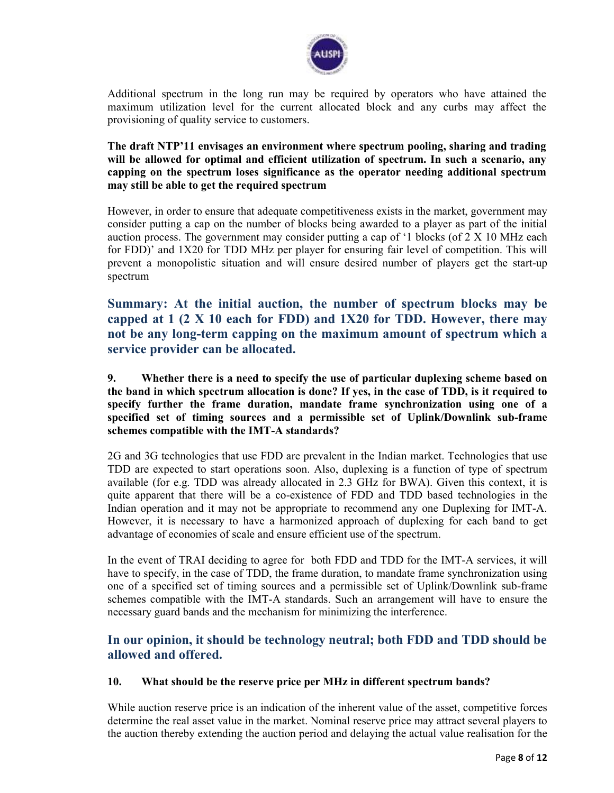

Additional spectrum in the long run may be required by operators who have attained the maximum utilization level for the current allocated block and any curbs may affect the provisioning of quality service to customers.

**The draft NTP'11 envisages an environment where spectrum pooling, sharing and trading will be allowed for optimal and efficient utilization of spectrum. In such a scenario, any capping on the spectrum loses significance as the operator needing additional spectrum may still be able to get the required spectrum** 

However, in order to ensure that adequate competitiveness exists in the market, government may consider putting a cap on the number of blocks being awarded to a player as part of the initial auction process. The government may consider putting a cap of '1 blocks (of 2 X 10 MHz each for FDD)' and 1X20 for TDD MHz per player for ensuring fair level of competition. This will prevent a monopolistic situation and will ensure desired number of players get the start-up spectrum

**Summary: At the initial auction, the number of spectrum blocks may be capped at 1 (2 X 10 each for FDD) and 1X20 for TDD. However, there may not be any long-term capping on the maximum amount of spectrum which a service provider can be allocated.** 

**9. Whether there is a need to specify the use of particular duplexing scheme based on the band in which spectrum allocation is done? If yes, in the case of TDD, is it required to specify further the frame duration, mandate frame synchronization using one of a specified set of timing sources and a permissible set of Uplink/Downlink sub-frame schemes compatible with the IMT-A standards?** 

2G and 3G technologies that use FDD are prevalent in the Indian market. Technologies that use TDD are expected to start operations soon. Also, duplexing is a function of type of spectrum available (for e.g. TDD was already allocated in 2.3 GHz for BWA). Given this context, it is quite apparent that there will be a co-existence of FDD and TDD based technologies in the Indian operation and it may not be appropriate to recommend any one Duplexing for IMT-A. However, it is necessary to have a harmonized approach of duplexing for each band to get advantage of economies of scale and ensure efficient use of the spectrum.

In the event of TRAI deciding to agree for both FDD and TDD for the IMT-A services, it will have to specify, in the case of TDD, the frame duration, to mandate frame synchronization using one of a specified set of timing sources and a permissible set of Uplink/Downlink sub-frame schemes compatible with the IMT-A standards. Such an arrangement will have to ensure the necessary guard bands and the mechanism for minimizing the interference.

# **In our opinion, it should be technology neutral; both FDD and TDD should be allowed and offered.**

#### **10. What should be the reserve price per MHz in different spectrum bands?**

While auction reserve price is an indication of the inherent value of the asset, competitive forces determine the real asset value in the market. Nominal reserve price may attract several players to the auction thereby extending the auction period and delaying the actual value realisation for the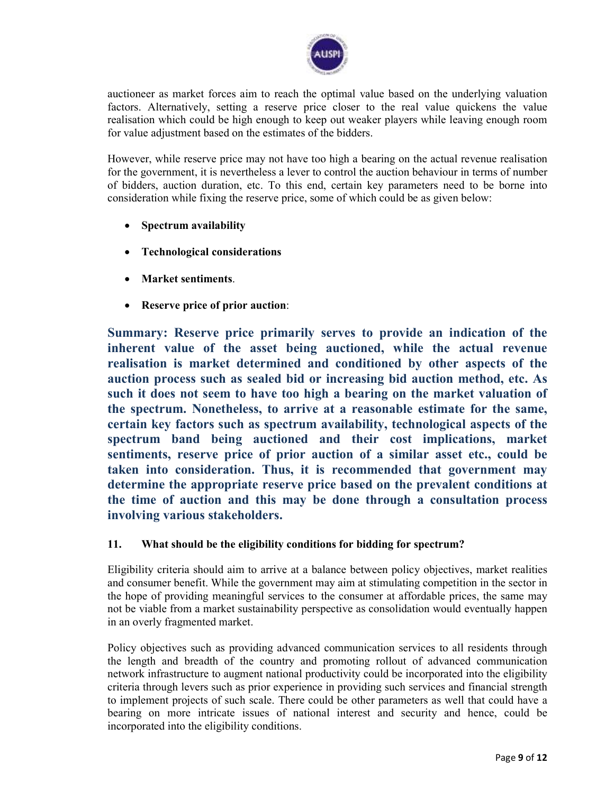

auctioneer as market forces aim to reach the optimal value based on the underlying valuation factors. Alternatively, setting a reserve price closer to the real value quickens the value realisation which could be high enough to keep out weaker players while leaving enough room for value adjustment based on the estimates of the bidders.

However, while reserve price may not have too high a bearing on the actual revenue realisation for the government, it is nevertheless a lever to control the auction behaviour in terms of number of bidders, auction duration, etc. To this end, certain key parameters need to be borne into consideration while fixing the reserve price, some of which could be as given below:

- **Spectrum availability**
- **Technological considerations**
- **Market sentiments**.
- **Reserve price of prior auction**:

**Summary: Reserve price primarily serves to provide an indication of the inherent value of the asset being auctioned, while the actual revenue realisation is market determined and conditioned by other aspects of the auction process such as sealed bid or increasing bid auction method, etc. As such it does not seem to have too high a bearing on the market valuation of the spectrum. Nonetheless, to arrive at a reasonable estimate for the same, certain key factors such as spectrum availability, technological aspects of the spectrum band being auctioned and their cost implications, market sentiments, reserve price of prior auction of a similar asset etc., could be taken into consideration. Thus, it is recommended that government may determine the appropriate reserve price based on the prevalent conditions at the time of auction and this may be done through a consultation process involving various stakeholders.** 

### **11. What should be the eligibility conditions for bidding for spectrum?**

Eligibility criteria should aim to arrive at a balance between policy objectives, market realities and consumer benefit. While the government may aim at stimulating competition in the sector in the hope of providing meaningful services to the consumer at affordable prices, the same may not be viable from a market sustainability perspective as consolidation would eventually happen in an overly fragmented market.

Policy objectives such as providing advanced communication services to all residents through the length and breadth of the country and promoting rollout of advanced communication network infrastructure to augment national productivity could be incorporated into the eligibility criteria through levers such as prior experience in providing such services and financial strength to implement projects of such scale. There could be other parameters as well that could have a bearing on more intricate issues of national interest and security and hence, could be incorporated into the eligibility conditions.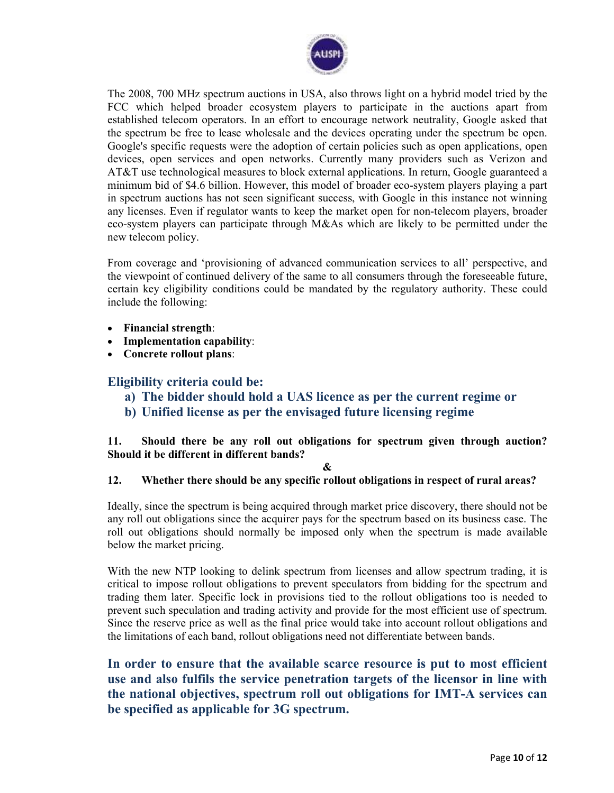

The 2008, 700 MHz spectrum auctions in USA, also throws light on a hybrid model tried by the FCC which helped broader ecosystem players to participate in the auctions apart from established telecom operators. In an effort to encourage network neutrality, Google asked that the spectrum be free to lease wholesale and the devices operating under the spectrum be open. Google's specific requests were the adoption of certain policies such as open applications, open devices, open services and open networks. Currently many providers such as Verizon and AT&T use technological measures to block external applications. In return, Google guaranteed a minimum bid of \$4.6 billion. However, this model of broader eco-system players playing a part in spectrum auctions has not seen significant success, with Google in this instance not winning any licenses. Even if regulator wants to keep the market open for non-telecom players, broader eco-system players can participate through M&As which are likely to be permitted under the new telecom policy.

From coverage and 'provisioning of advanced communication services to all' perspective, and the viewpoint of continued delivery of the same to all consumers through the foreseeable future, certain key eligibility conditions could be mandated by the regulatory authority. These could include the following:

- **Financial strength**:
- **Implementation capability**:
- **Concrete rollout plans**:

### **Eligibility criteria could be:**

- **a) The bidder should hold a UAS licence as per the current regime or**
- **b) Unified license as per the envisaged future licensing regime**

**11. Should there be any roll out obligations for spectrum given through auction? Should it be different in different bands?** 

#### **&**

### **12. Whether there should be any specific rollout obligations in respect of rural areas?**

Ideally, since the spectrum is being acquired through market price discovery, there should not be any roll out obligations since the acquirer pays for the spectrum based on its business case. The roll out obligations should normally be imposed only when the spectrum is made available below the market pricing.

With the new NTP looking to delink spectrum from licenses and allow spectrum trading, it is critical to impose rollout obligations to prevent speculators from bidding for the spectrum and trading them later. Specific lock in provisions tied to the rollout obligations too is needed to prevent such speculation and trading activity and provide for the most efficient use of spectrum. Since the reserve price as well as the final price would take into account rollout obligations and the limitations of each band, rollout obligations need not differentiate between bands.

**In order to ensure that the available scarce resource is put to most efficient use and also fulfils the service penetration targets of the licensor in line with the national objectives, spectrum roll out obligations for IMT-A services can be specified as applicable for 3G spectrum.**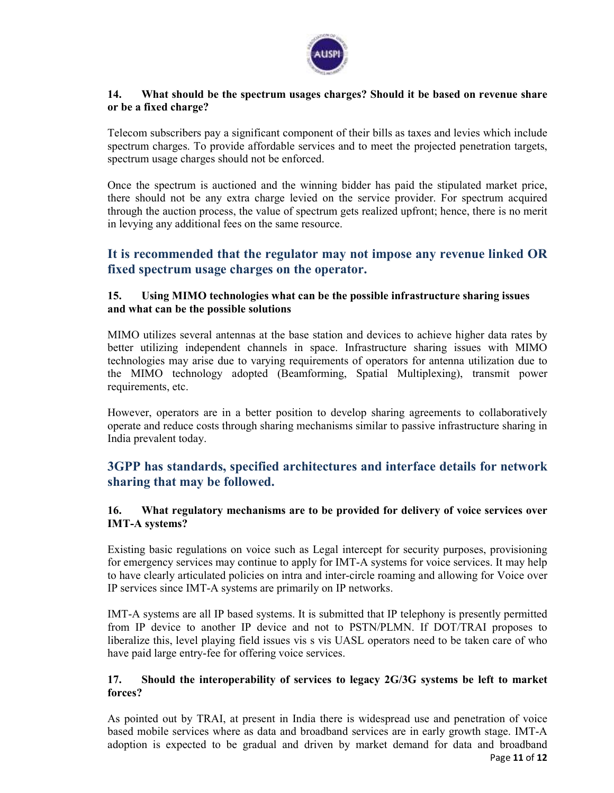

#### **14. What should be the spectrum usages charges? Should it be based on revenue share or be a fixed charge?**

Telecom subscribers pay a significant component of their bills as taxes and levies which include spectrum charges. To provide affordable services and to meet the projected penetration targets, spectrum usage charges should not be enforced.

Once the spectrum is auctioned and the winning bidder has paid the stipulated market price, there should not be any extra charge levied on the service provider. For spectrum acquired through the auction process, the value of spectrum gets realized upfront; hence, there is no merit in levying any additional fees on the same resource.

## **It is recommended that the regulator may not impose any revenue linked OR fixed spectrum usage charges on the operator.**

### **15. Using MIMO technologies what can be the possible infrastructure sharing issues and what can be the possible solutions**

MIMO utilizes several antennas at the base station and devices to achieve higher data rates by better utilizing independent channels in space. Infrastructure sharing issues with MIMO technologies may arise due to varying requirements of operators for antenna utilization due to the MIMO technology adopted (Beamforming, Spatial Multiplexing), transmit power requirements, etc.

However, operators are in a better position to develop sharing agreements to collaboratively operate and reduce costs through sharing mechanisms similar to passive infrastructure sharing in India prevalent today.

# **3GPP has standards, specified architectures and interface details for network sharing that may be followed.**

### **16. What regulatory mechanisms are to be provided for delivery of voice services over IMT-A systems?**

Existing basic regulations on voice such as Legal intercept for security purposes, provisioning for emergency services may continue to apply for IMT-A systems for voice services. It may help to have clearly articulated policies on intra and inter-circle roaming and allowing for Voice over IP services since IMT-A systems are primarily on IP networks.

IMT-A systems are all IP based systems. It is submitted that IP telephony is presently permitted from IP device to another IP device and not to PSTN/PLMN. If DOT/TRAI proposes to liberalize this, level playing field issues vis s vis UASL operators need to be taken care of who have paid large entry-fee for offering voice services.

### **17. Should the interoperability of services to legacy 2G/3G systems be left to market forces?**

Page **11** of **12** As pointed out by TRAI, at present in India there is widespread use and penetration of voice based mobile services where as data and broadband services are in early growth stage. IMT-A adoption is expected to be gradual and driven by market demand for data and broadband